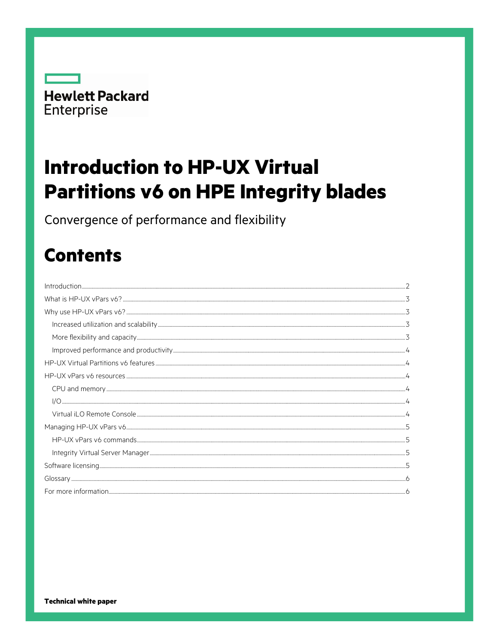

# **Introduction to HP-UX Virtual Partitions v6 on HPE Integrity blades**

Convergence of performance and flexibility

## **Contents**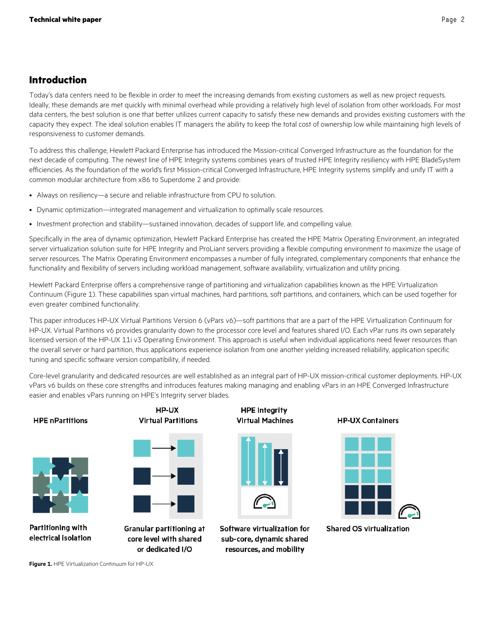## <span id="page-1-0"></span>**Introduction**

Today's data centers need to be flexible in order to meet the increasing demands from existing customers as well as new project requests. Ideally, these demands are met quickly with minimal overhead while providing a relatively high level of isolation from other workloads. For most data centers, the best solution is one that better utilizes current capacity to satisfy these new demands and provides existing customers with the capacity they expect. The ideal solution enables IT managers the ability to keep the total cost of ownership low while maintaining high levels of responsiveness to customer demands.

To address this challenge, Hewlett Packard Enterprise has introduced the Mission-critical Converged Infrastructure as the foundation for the next decade of computing. The newest line of HPE Integrity systems combines years of trusted HPE Integrity resiliency with HPE BladeSystem efficiencies. As the foundation of the world's first Mission-critical Converged Infrastructure, HPE Integrity systems simplify and unify IT with a common modular architecture from x86 to Superdome 2 and provide:

- Always on resiliency—a secure and reliable infrastructure from CPU to solution.
- Dynamic optimization—integrated management and virtualization to optimally scale resources.
- Investment protection and stability—sustained innovation, decades of support life, and compelling value.

Specifically in the area of dynamic optimization, Hewlett Packard Enterprise has created the HPE Matrix Operating Environment, an integrated server virtualization solution suite for HPE Integrity and ProLiant servers providing a flexible computing environment to maximize the usage of server resources. The Matrix Operating Environment encompasses a number of fully integrated, complementary components that enhance the functionality and flexibility of servers including workload management, software availability, virtualization and utility pricing.

Hewlett Packard Enterprise offers a comprehensive range of partitioning and virtualization capabilities known as the HPE Virtualization Continuum (Figure 1). These capabilities span virtual machines, hard partitions, soft partitions, and containers, which can be used together for even greater combined functionality.

This paper introduces HP-UX Virtual Partitions Version 6 (vPars v6)—soft partitions that are a part of the HPE Virtualization Continuum for HP-UX. Virtual Partitions v6 provides granularity down to the processor core level and features shared I/O. Each vPar runs its own separately licensed version of the HP-UX 11i v3 Operating Environment. This approach is useful when individual applications need fewer resources than the overall server or hard partition, thus applications experience isolation from one another yielding increased reliability, application specific tuning and specific software version compatibility, if needed.

Core-level granularity and dedicated resources are well established as an integral part of HP-UX mission-critical customer deployments. HP-UX vPars v6 builds on these core strengths and introduces features making managing and enabling vPars in an HPE Converged Infrastructure easier and enables vPars running on HPE's Integrity server blades.

#### **HPE nPartitions**



Partitioning with

electrical isolation

**Virtual Partitions** 

HP-UX

**Granular partitioning at** core level with shared or dedicated I/O

**HPE Integrity Virtual Machines** 



Software virtualization for sub-core, dynamic shared resources, and mobility

**HP-UX Containers** 



**Shared OS virtualization** 

**Figure 1.** HPE Virtualization Continuum for HP-UX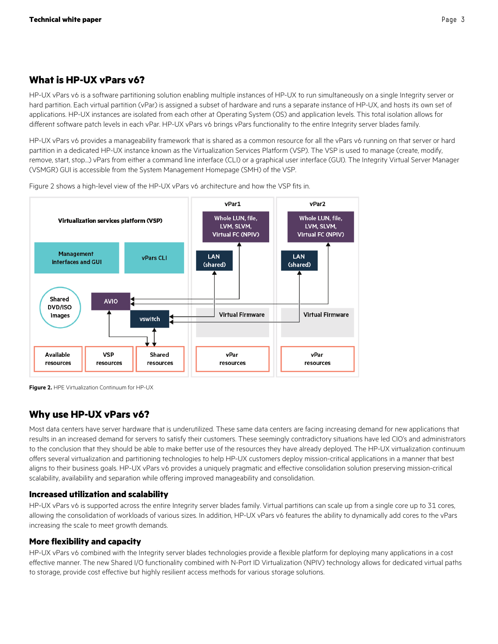## <span id="page-2-0"></span>**What is HP-UX vPars v6?**

HP-UX vPars v6 is a software partitioning solution enabling multiple instances of HP-UX to run simultaneously on a single Integrity server or hard partition. Each virtual partition (vPar) is assigned a subset of hardware and runs a separate instance of HP-UX, and hosts its own set of applications. HP-UX instances are isolated from each other at Operating System (OS) and application levels. This total isolation allows for different software patch levels in each vPar. HP-UX vPars v6 brings vPars functionality to the entire Integrity server blades family.

HP-UX vPars v6 provides a manageability framework that is shared as a common resource for all the vPars v6 running on that server or hard partition in a dedicated HP-UX instance known as the Virtualization Services Platform (VSP). The VSP is used to manage (create, modify, remove, start, stop…) vPars from either a command line interface (CLI) or a graphical user interface (GUI). The Integrity Virtual Server Manager (VSMGR) GUI is accessible from the System Management Homepage (SMH) of the VSP.



Figure 2 shows a high-level view of the HP-UX vPars v6 architecture and how the VSP fits in.

**Figure 2.** HPE Virtualization Continuum for HP-UX

## <span id="page-2-1"></span>**Why use HP-UX vPars v6?**

Most data centers have server hardware that is underutilized. These same data centers are facing increasing demand for new applications that results in an increased demand for servers to satisfy their customers. These seemingly contradictory situations have led CIO's and administrators to the conclusion that they should be able to make better use of the resources they have already deployed. The HP-UX virtualization continuum offers several virtualization and partitioning technologies to help HP-UX customers deploy mission-critical applications in a manner that best aligns to their business goals. HP-UX vPars v6 provides a uniquely pragmatic and effective consolidation solution preserving mission-critical scalability, availability and separation while offering improved manageability and consolidation.

#### <span id="page-2-2"></span>**Increased utilization and scalability**

HP-UX vPars v6 is supported across the entire Integrity server blades family. Virtual partitions can scale up from a single core up to 31 cores, allowing the consolidation of workloads of various sizes. In addition, HP-UX vPars v6 features the ability to dynamically add cores to the vPars increasing the scale to meet growth demands.

#### <span id="page-2-3"></span>**More flexibility and capacity**

HP-UX vPars v6 combined with the Integrity server blades technologies provide a flexible platform for deploying many applications in a cost effective manner. The new Shared I/O functionality combined with N-Port ID Virtualization (NPIV) technology allows for dedicated virtual paths to storage, provide cost effective but highly resilient access methods for various storage solutions.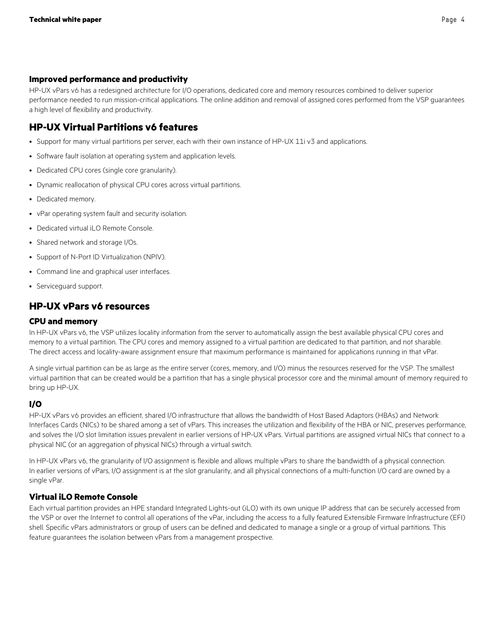#### <span id="page-3-0"></span>**Improved performance and productivity**

HP-UX vPars v6 has a redesigned architecture for I/O operations, dedicated core and memory resources combined to deliver superior performance needed to run mission-critical applications. The online addition and removal of assigned cores performed from the VSP guarantees a high level of flexibility and productivity.

## <span id="page-3-1"></span>**HP-UX Virtual Partitions v6 features**

- Support for many virtual partitions per server, each with their own instance of HP-UX 11i v3 and applications.
- Software fault isolation at operating system and application levels.
- Dedicated CPU cores (single core granularity).
- Dynamic reallocation of physical CPU cores across virtual partitions.
- Dedicated memory.
- vPar operating system fault and security isolation.
- Dedicated virtual iLO Remote Console.
- Shared network and storage I/Os.
- Support of N-Port ID Virtualization (NPIV).
- Command line and graphical user interfaces.
- Serviceguard support.

## <span id="page-3-2"></span>**HP-UX vPars v6 resources**

#### <span id="page-3-3"></span>**CPU and memory**

In HP-UX vPars v6, the VSP utilizes locality information from the server to automatically assign the best available physical CPU cores and memory to a virtual partition. The CPU cores and memory assigned to a virtual partition are dedicated to that partition, and not sharable. The direct access and locality-aware assignment ensure that maximum performance is maintained for applications running in that vPar.

A single virtual partition can be as large as the entire server (cores, memory, and I/O) minus the resources reserved for the VSP. The smallest virtual partition that can be created would be a partition that has a single physical processor core and the minimal amount of memory required to bring up HP-UX.

#### <span id="page-3-4"></span>**I/O**

HP-UX vPars v6 provides an efficient, shared I/O infrastructure that allows the bandwidth of Host Based Adaptors (HBAs) and Network Interfaces Cards (NICs) to be shared among a set of vPars. This increases the utilization and flexibility of the HBA or NIC, preserves performance, and solves the I/O slot limitation issues prevalent in earlier versions of HP-UX vPars. Virtual partitions are assigned virtual NICs that connect to a physical NIC (or an aggregation of physical NICs) through a virtual switch.

In HP-UX vPars v6, the granularity of I/O assignment is flexible and allows multiple vPars to share the bandwidth of a physical connection. In earlier versions of vPars, I/O assignment is at the slot granularity, and all physical connections of a multi-function I/O card are owned by a single vPar.

#### <span id="page-3-5"></span>**Virtual iLO Remote Console**

Each virtual partition provides an HPE standard Integrated Lights-out (iLO) with its own unique IP address that can be securely accessed from the VSP or over the Internet to control all operations of the vPar, including the access to a fully featured Extensible Firmware Infrastructure (EFI) shell. Specific vPars administrators or group of users can be defined and dedicated to manage a single or a group of virtual partitions. This feature guarantees the isolation between vPars from a management prospective.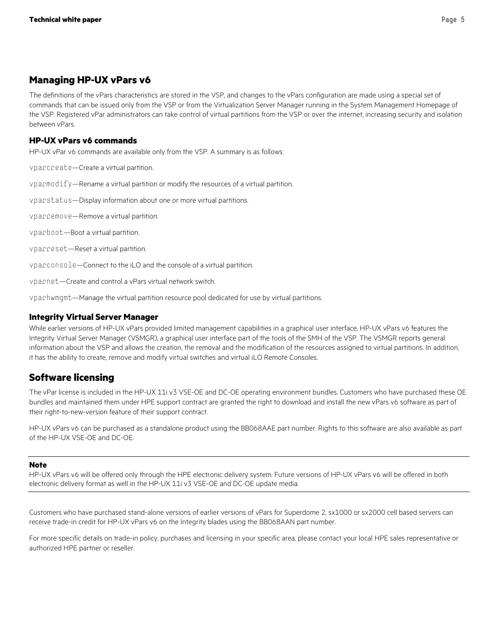## <span id="page-4-0"></span>**Managing HP-UX vPars v6**

The definitions of the vPars characteristics are stored in the VSP, and changes to the vPars configuration are made using a special set of commands that can be issued only from the VSP or from the Virtualization Server Manager running in the System Management Homepage of the VSP. Registered vPar administrators can take control of virtual partitions from the VSP or over the internet, increasing security and isolation between vPars.

#### <span id="page-4-1"></span>**HP-UX vPars v6 commands**

HP-UX vPar v6 commands are available only from the VSP. A summary is as follows:

vparcreate—Create a virtual partition.

vparmodify—Rename a virtual partition or modify the resources of a virtual partition.

vparstatus—Display information about one or more virtual partitions.

vparremove—Remove a virtual partition.

vparboot—Boot a virtual partition.

vparreset—Reset a virtual partition.

vparconsole—Connect to the iLO and the console of a virtual partition.

vparnet—Create and control a vPars virtual network switch.

vparhwmgmt—Manage the virtual partition resource pool dedicated for use by virtual partitions.

#### <span id="page-4-2"></span>**Integrity Virtual Server Manager**

While earlier versions of HP-UX vPars provided limited management capabilities in a graphical user interface, HP-UX vPars v6 features the Integrity Virtual Server Manager (VSMGR), a graphical user interface part of the tools of the SMH of the VSP. The VSMGR reports general information about the VSP and allows the creation, the removal and the modification of the resources assigned to virtual partitions. In addition, it has the ability to create, remove and modify virtual switches and virtual iLO Remote Consoles.

## <span id="page-4-3"></span>**Software licensing**

The vPar license is included in the HP-UX 11i v3 VSE-OE and DC-OE operating environment bundles. Customers who have purchased these OE bundles and maintained them under HPE support contract are granted the right to download and install the new vPars v6 software as part of their right-to-new-version feature of their support contract.

HP-UX vPars v6 can be purchased as a standalone product using the BB068AAE part number. Rights to this software are also available as part of the HP-UX VSE-OE and DC-OE.

#### **Note**

HP-UX vPars v6 will be offered only through the HPE electronic delivery system. Future versions of HP-UX vPars v6 will be offered in both electronic delivery format as well in the HP-UX 11i v3 VSE-OE and DC-OE update media.

Customers who have purchased stand-alone versions of earlier versions of vPars for Superdome 2, sx1000 or sx2000 cell based servers can receive trade-in credit for HP-UX vPars v6 on the Integrity blades using the BB068AAN part number.

For more specific details on trade-in policy, purchases and licensing in your specific area, please contact your local HPE sales representative or authorized HPE partner or reseller.